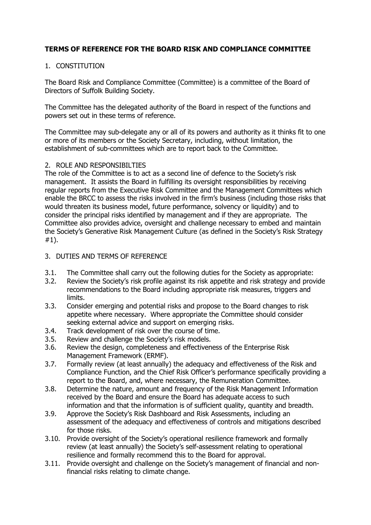## **TERMS OF REFERENCE FOR THE BOARD RISK AND COMPLIANCE COMMITTEE**

## 1. CONSTITUTION

The Board Risk and Compliance Committee (Committee) is a committee of the Board of Directors of Suffolk Building Society.

The Committee has the delegated authority of the Board in respect of the functions and powers set out in these terms of reference.

The Committee may sub-delegate any or all of its powers and authority as it thinks fit to one or more of its members or the Society Secretary, including, without limitation, the establishment of sub-committees which are to report back to the Committee.

### 2. ROLE AND RESPONSIBILTIES

The role of the Committee is to act as a second line of defence to the Society's risk management. It assists the Board in fulfilling its oversight responsibilities by receiving regular reports from the Executive Risk Committee and the Management Committees which enable the BRCC to assess the risks involved in the firm's business (including those risks that would threaten its business model, future performance, solvency or liquidity) and to consider the principal risks identified by management and if they are appropriate. The Committee also provides advice, oversight and challenge necessary to embed and maintain the Society's Generative Risk Management Culture (as defined in the Society's Risk Strategy #1).

### 3. DUTIES AND TERMS OF REFERENCE

- 3.1. The Committee shall carry out the following duties for the Society as appropriate:
- 3.2. Review the Society's risk profile against its risk appetite and risk strategy and provide recommendations to the Board including appropriate risk measures, triggers and limits.
- 3.3. Consider emerging and potential risks and propose to the Board changes to risk appetite where necessary. Where appropriate the Committee should consider seeking external advice and support on emerging risks.
- 3.4. Track development of risk over the course of time.<br>3.5. Review and challenge the Society's risk models.
- Review and challenge the Society's risk models.
- 3.6. Review the design, completeness and effectiveness of the Enterprise Risk Management Framework (ERMF).
- 3.7. Formally review (at least annually) the adequacy and effectiveness of the Risk and Compliance Function, and the Chief Risk Officer's performance specifically providing a report to the Board, and, where necessary, the Remuneration Committee.
- 3.8. Determine the nature, amount and frequency of the Risk Management Information received by the Board and ensure the Board has adequate access to such information and that the information is of sufficient quality, quantity and breadth.
- 3.9. Approve the Society's Risk Dashboard and Risk Assessments, including an assessment of the adequacy and effectiveness of controls and mitigations described for those risks.
- 3.10. Provide oversight of the Society's operational resilience framework and formally review (at least annually) the Society's self-assessment relating to operational resilience and formally recommend this to the Board for approval.
- 3.11. Provide oversight and challenge on the Society's management of financial and nonfinancial risks relating to climate change.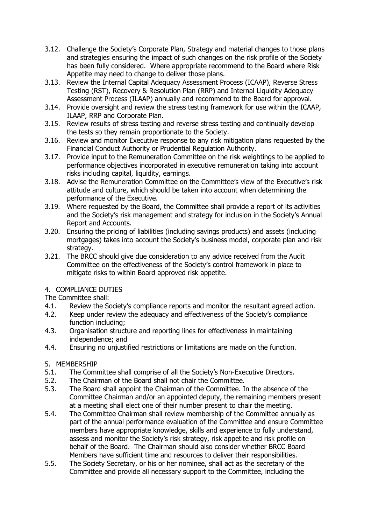- 3.12. Challenge the Society's Corporate Plan, Strategy and material changes to those plans and strategies ensuring the impact of such changes on the risk profile of the Society has been fully considered. Where appropriate recommend to the Board where Risk Appetite may need to change to deliver those plans.
- 3.13. Review the Internal Capital Adequacy Assessment Process (ICAAP), Reverse Stress Testing (RST), Recovery & Resolution Plan (RRP) and Internal Liquidity Adequacy Assessment Process (ILAAP) annually and recommend to the Board for approval.
- 3.14. Provide oversight and review the stress testing framework for use within the ICAAP, ILAAP, RRP and Corporate Plan.
- 3.15. Review results of stress testing and reverse stress testing and continually develop the tests so they remain proportionate to the Society.
- 3.16. Review and monitor Executive response to any risk mitigation plans requested by the Financial Conduct Authority or Prudential Regulation Authority.
- 3.17. Provide input to the Remuneration Committee on the risk weightings to be applied to performance objectives incorporated in executive remuneration taking into account risks including capital, liquidity, earnings.
- 3.18. Advise the Remuneration Committee on the Committee's view of the Executive's risk attitude and culture, which should be taken into account when determining the performance of the Executive.
- 3.19. Where requested by the Board, the Committee shall provide a report of its activities and the Society's risk management and strategy for inclusion in the Society's Annual Report and Accounts.
- 3.20. Ensuring the pricing of liabilities (including savings products) and assets (including mortgages) takes into account the Society's business model, corporate plan and risk strategy.
- 3.21. The BRCC should give due consideration to any advice received from the Audit Committee on the effectiveness of the Society's control framework in place to mitigate risks to within Board approved risk appetite.

### 4. COMPLIANCE DUTIES

The Committee shall:

- 4.1. Review the Society's compliance reports and monitor the resultant agreed action.<br>4.2. Keep under review the adeguacy and effectiveness of the Society's compliance
- Keep under review the adequacy and effectiveness of the Society's compliance function including;
- 4.3. Organisation structure and reporting lines for effectiveness in maintaining independence; and
- 4.4. Ensuring no unjustified restrictions or limitations are made on the function.

# 5. MEMBERSHIP<br>5.1. The Comr

- 5.1. The Committee shall comprise of all the Society's Non-Executive Directors.
- 5.2. The Chairman of the Board shall not chair the Committee.
- 5.3. The Board shall appoint the Chairman of the Committee. In the absence of the Committee Chairman and/or an appointed deputy, the remaining members present at a meeting shall elect one of their number present to chair the meeting.
- 5.4. The Committee Chairman shall review membership of the Committee annually as part of the annual performance evaluation of the Committee and ensure Committee members have appropriate knowledge, skills and experience to fully understand, assess and monitor the Society's risk strategy, risk appetite and risk profile on behalf of the Board. The Chairman should also consider whether BRCC Board Members have sufficient time and resources to deliver their responsibilities.
- 5.5. The Society Secretary, or his or her nominee, shall act as the secretary of the Committee and provide all necessary support to the Committee, including the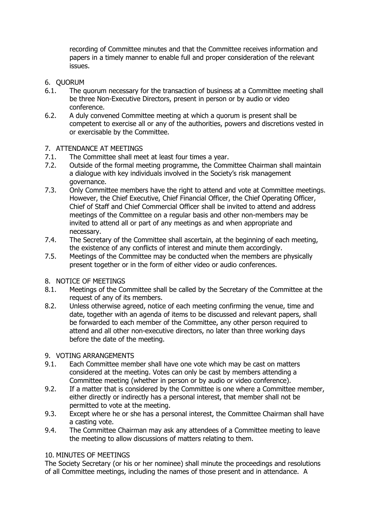recording of Committee minutes and that the Committee receives information and papers in a timely manner to enable full and proper consideration of the relevant issues.

- 6. QUORUM
- 6.1. The quorum necessary for the transaction of business at a Committee meeting shall be three Non-Executive Directors, present in person or by audio or video conference.
- 6.2. A duly convened Committee meeting at which a quorum is present shall be competent to exercise all or any of the authorities, powers and discretions vested in or exercisable by the Committee.

# 7. ATTENDANCE AT MEETINGS<br>7.1. The Committee shall mee

- The Committee shall meet at least four times a year.
- 7.2. Outside of the formal meeting programme, the Committee Chairman shall maintain a dialogue with key individuals involved in the Society's risk management governance.
- 7.3. Only Committee members have the right to attend and vote at Committee meetings. However, the Chief Executive, Chief Financial Officer, the Chief Operating Officer, Chief of Staff and Chief Commercial Officer shall be invited to attend and address meetings of the Committee on a regular basis and other non-members may be invited to attend all or part of any meetings as and when appropriate and necessary.
- 7.4. The Secretary of the Committee shall ascertain, at the beginning of each meeting, the existence of any conflicts of interest and minute them accordingly.
- 7.5. Meetings of the Committee may be conducted when the members are physically present together or in the form of either video or audio conferences.

# 8. NOTICE OF MEETINGS<br>8.1. Meetings of the Co

- Meetings of the Committee shall be called by the Secretary of the Committee at the request of any of its members.
- 8.2. Unless otherwise agreed, notice of each meeting confirming the venue, time and date, together with an agenda of items to be discussed and relevant papers, shall be forwarded to each member of the Committee, any other person required to attend and all other non-executive directors, no later than three working days before the date of the meeting.

### 9. VOTING ARRANGEMENTS

- 9.1. Each Committee member shall have one vote which may be cast on matters considered at the meeting. Votes can only be cast by members attending a Committee meeting (whether in person or by audio or video conference).
- 9.2. If a matter that is considered by the Committee is one where a Committee member, either directly or indirectly has a personal interest, that member shall not be permitted to vote at the meeting.
- 9.3. Except where he or she has a personal interest, the Committee Chairman shall have a casting vote.
- 9.4. The Committee Chairman may ask any attendees of a Committee meeting to leave the meeting to allow discussions of matters relating to them.

### 10. MINUTES OF MEETINGS

The Society Secretary (or his or her nominee) shall minute the proceedings and resolutions of all Committee meetings, including the names of those present and in attendance. A